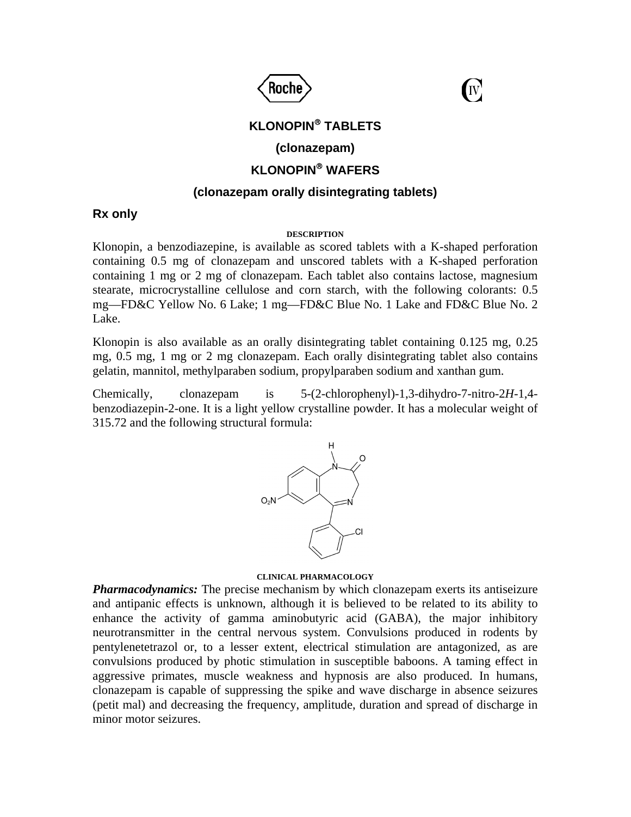



## **KLONOPIN**® **TABLETS**

## **(clonazepam)**

# **KLONOPIN**® **WAFERS**

## **(clonazepam orally disintegrating tablets)**

## **Rx only**

## **DESCRIPTION**

Klonopin, a benzodiazepine, is available as scored tablets with a K-shaped perforation containing 0.5 mg of clonazepam and unscored tablets with a K-shaped perforation containing 1 mg or 2 mg of clonazepam. Each tablet also contains lactose, magnesium stearate, microcrystalline cellulose and corn starch, with the following colorants: 0.5 mg—FD&C Yellow No. 6 Lake; 1 mg—FD&C Blue No. 1 Lake and FD&C Blue No. 2 Lake.

Klonopin is also available as an orally disintegrating tablet containing 0.125 mg, 0.25 mg, 0.5 mg, 1 mg or 2 mg clonazepam. Each orally disintegrating tablet also contains gelatin, mannitol, methylparaben sodium, propylparaben sodium and xanthan gum.

Chemically, clonazepam is 5-(2-chlorophenyl)-1,3-dihydro-7-nitro-2*H*-1,4 benzodiazepin-2-one. It is a light yellow crystalline powder. It has a molecular weight of 315.72 and the following structural formula:



#### **CLINICAL PHARMACOLOGY**

*Pharmacodynamics:* The precise mechanism by which clonazepam exerts its antiseizure and antipanic effects is unknown, although it is believed to be related to its ability to enhance the activity of gamma aminobutyric acid (GABA), the major inhibitory neurotransmitter in the central nervous system. Convulsions produced in rodents by pentylenetetrazol or, to a lesser extent, electrical stimulation are antagonized, as are convulsions produced by photic stimulation in susceptible baboons. A taming effect in aggressive primates, muscle weakness and hypnosis are also produced. In humans, clonazepam is capable of suppressing the spike and wave discharge in absence seizures (petit mal) and decreasing the frequency, amplitude, duration and spread of discharge in minor motor seizures.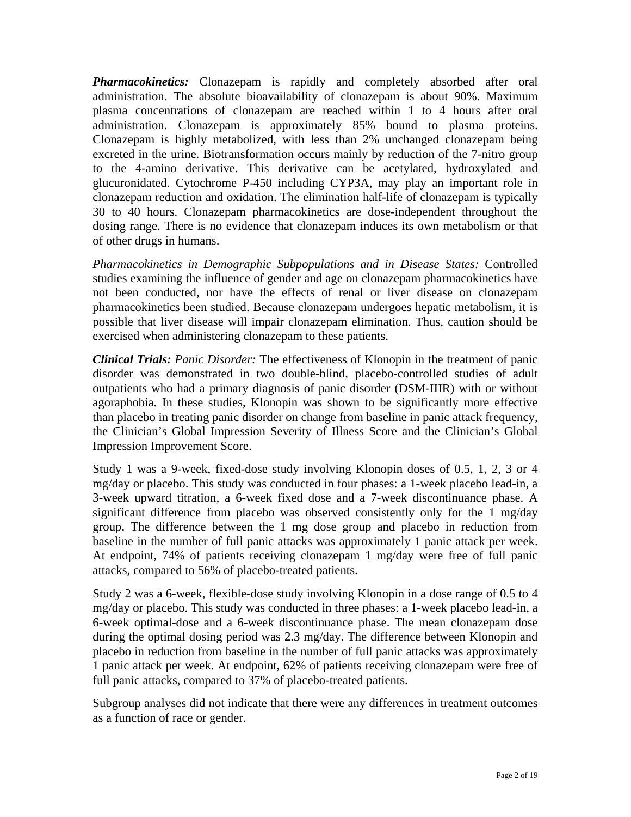*Pharmacokinetics:* Clonazepam is rapidly and completely absorbed after oral administration. The absolute bioavailability of clonazepam is about 90%. Maximum plasma concentrations of clonazepam are reached within 1 to 4 hours after oral administration. Clonazepam is approximately 85% bound to plasma proteins. Clonazepam is highly metabolized, with less than 2% unchanged clonazepam being excreted in the urine. Biotransformation occurs mainly by reduction of the 7-nitro group to the 4-amino derivative. This derivative can be acetylated, hydroxylated and glucuronidated. Cytochrome P-450 including CYP3A, may play an important role in clonazepam reduction and oxidation. The elimination half-life of clonazepam is typically 30 to 40 hours. Clonazepam pharmacokinetics are dose-independent throughout the dosing range. There is no evidence that clonazepam induces its own metabolism or that of other drugs in humans.

*Pharmacokinetics in Demographic Subpopulations and in Disease States:* Controlled studies examining the influence of gender and age on clonazepam pharmacokinetics have not been conducted, nor have the effects of renal or liver disease on clonazepam pharmacokinetics been studied. Because clonazepam undergoes hepatic metabolism, it is possible that liver disease will impair clonazepam elimination. Thus, caution should be exercised when administering clonazepam to these patients.

*Clinical Trials: Panic Disorder:* The effectiveness of Klonopin in the treatment of panic disorder was demonstrated in two double-blind, placebo-controlled studies of adult outpatients who had a primary diagnosis of panic disorder (DSM-IIIR) with or without agoraphobia. In these studies, Klonopin was shown to be significantly more effective than placebo in treating panic disorder on change from baseline in panic attack frequency, the Clinician's Global Impression Severity of Illness Score and the Clinician's Global Impression Improvement Score.

Study 1 was a 9-week, fixed-dose study involving Klonopin doses of 0.5, 1, 2, 3 or 4 mg/day or placebo. This study was conducted in four phases: a 1-week placebo lead-in, a 3-week upward titration, a 6-week fixed dose and a 7-week discontinuance phase. A significant difference from placebo was observed consistently only for the 1 mg/day group. The difference between the 1 mg dose group and placebo in reduction from baseline in the number of full panic attacks was approximately 1 panic attack per week. At endpoint, 74% of patients receiving clonazepam 1 mg/day were free of full panic attacks, compared to 56% of placebo-treated patients.

Study 2 was a 6-week, flexible-dose study involving Klonopin in a dose range of 0.5 to 4 mg/day or placebo. This study was conducted in three phases: a 1-week placebo lead-in, a 6-week optimal-dose and a 6-week discontinuance phase. The mean clonazepam dose during the optimal dosing period was 2.3 mg/day. The difference between Klonopin and placebo in reduction from baseline in the number of full panic attacks was approximately 1 panic attack per week. At endpoint, 62% of patients receiving clonazepam were free of full panic attacks, compared to 37% of placebo-treated patients.

Subgroup analyses did not indicate that there were any differences in treatment outcomes as a function of race or gender.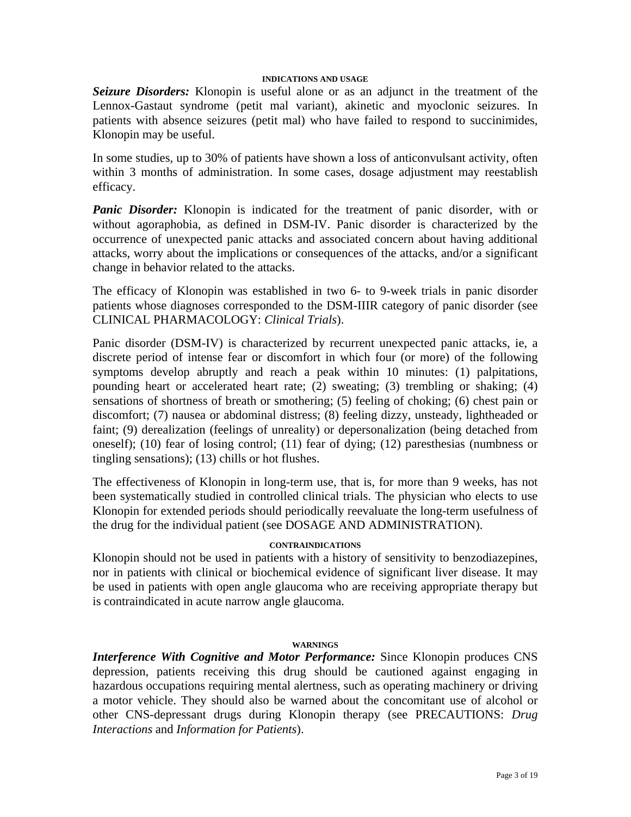#### **INDICATIONS AND USAGE**

*Seizure Disorders:* Klonopin is useful alone or as an adjunct in the treatment of the Lennox-Gastaut syndrome (petit mal variant), akinetic and myoclonic seizures. In patients with absence seizures (petit mal) who have failed to respond to succinimides, Klonopin may be useful.

In some studies, up to 30% of patients have shown a loss of anticonvulsant activity, often within 3 months of administration. In some cases, dosage adjustment may reestablish efficacy.

*Panic Disorder:* Klonopin is indicated for the treatment of panic disorder, with or without agoraphobia, as defined in DSM-IV. Panic disorder is characterized by the occurrence of unexpected panic attacks and associated concern about having additional attacks, worry about the implications or consequences of the attacks, and/or a significant change in behavior related to the attacks.

The efficacy of Klonopin was established in two 6- to 9-week trials in panic disorder patients whose diagnoses corresponded to the DSM-IIIR category of panic disorder (see CLINICAL PHARMACOLOGY: *Clinical Trials*).

Panic disorder (DSM-IV) is characterized by recurrent unexpected panic attacks, ie, a discrete period of intense fear or discomfort in which four (or more) of the following symptoms develop abruptly and reach a peak within 10 minutes: (1) palpitations, pounding heart or accelerated heart rate; (2) sweating; (3) trembling or shaking; (4) sensations of shortness of breath or smothering; (5) feeling of choking; (6) chest pain or discomfort; (7) nausea or abdominal distress; (8) feeling dizzy, unsteady, lightheaded or faint; (9) derealization (feelings of unreality) or depersonalization (being detached from oneself); (10) fear of losing control; (11) fear of dying; (12) paresthesias (numbness or tingling sensations); (13) chills or hot flushes.

The effectiveness of Klonopin in long-term use, that is, for more than 9 weeks, has not been systematically studied in controlled clinical trials. The physician who elects to use Klonopin for extended periods should periodically reevaluate the long-term usefulness of the drug for the individual patient (see DOSAGE AND ADMINISTRATION).

#### **CONTRAINDICATIONS**

Klonopin should not be used in patients with a history of sensitivity to benzodiazepines, nor in patients with clinical or biochemical evidence of significant liver disease. It may be used in patients with open angle glaucoma who are receiving appropriate therapy but is contraindicated in acute narrow angle glaucoma.

#### **WARNINGS**

*Interference With Cognitive and Motor Performance:* Since Klonopin produces CNS depression, patients receiving this drug should be cautioned against engaging in hazardous occupations requiring mental alertness, such as operating machinery or driving a motor vehicle. They should also be warned about the concomitant use of alcohol or other CNS-depressant drugs during Klonopin therapy (see PRECAUTIONS: *Drug Interactions* and *Information for Patients*).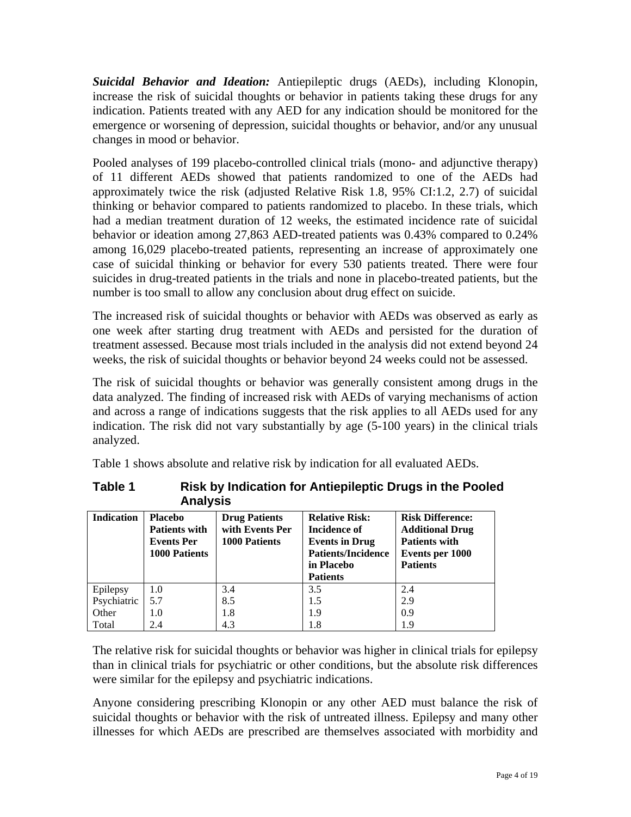*Suicidal Behavior and Ideation:* Antiepileptic drugs (AEDs), including Klonopin, increase the risk of suicidal thoughts or behavior in patients taking these drugs for any indication. Patients treated with any AED for any indication should be monitored for the emergence or worsening of depression, suicidal thoughts or behavior, and/or any unusual changes in mood or behavior.

Pooled analyses of 199 placebo-controlled clinical trials (mono- and adjunctive therapy) of 11 different AEDs showed that patients randomized to one of the AEDs had approximately twice the risk (adjusted Relative Risk 1.8, 95% CI:1.2, 2.7) of suicidal thinking or behavior compared to patients randomized to placebo. In these trials, which had a median treatment duration of 12 weeks, the estimated incidence rate of suicidal behavior or ideation among 27,863 AED-treated patients was 0.43% compared to 0.24% among 16,029 placebo-treated patients, representing an increase of approximately one case of suicidal thinking or behavior for every 530 patients treated. There were four suicides in drug-treated patients in the trials and none in placebo-treated patients, but the number is too small to allow any conclusion about drug effect on suicide.

The increased risk of suicidal thoughts or behavior with AEDs was observed as early as one week after starting drug treatment with AEDs and persisted for the duration of treatment assessed. Because most trials included in the analysis did not extend beyond 24 weeks, the risk of suicidal thoughts or behavior beyond 24 weeks could not be assessed.

The risk of suicidal thoughts or behavior was generally consistent among drugs in the data analyzed. The finding of increased risk with AEDs of varying mechanisms of action and across a range of indications suggests that the risk applies to all AEDs used for any indication. The risk did not vary substantially by age (5-100 years) in the clinical trials analyzed.

Table 1 shows absolute and relative risk by indication for all evaluated AEDs.

| Indication  | <b>Placebo</b><br><b>Patients with</b><br><b>Events Per</b><br><b>1000 Patients</b> | <b>Drug Patients</b><br>with Events Per<br><b>1000 Patients</b> | <b>Relative Risk:</b><br>Incidence of<br><b>Events in Drug</b><br><b>Patients/Incidence</b><br>in Placebo<br><b>Patients</b> | <b>Risk Difference:</b><br><b>Additional Drug</b><br><b>Patients with</b><br>Events per 1000<br><b>Patients</b> |
|-------------|-------------------------------------------------------------------------------------|-----------------------------------------------------------------|------------------------------------------------------------------------------------------------------------------------------|-----------------------------------------------------------------------------------------------------------------|
| Epilepsy    | 1.0                                                                                 | 3.4                                                             | 3.5                                                                                                                          | 2.4                                                                                                             |
| Psychiatric | 5.7                                                                                 | 8.5                                                             | 1.5                                                                                                                          | 2.9                                                                                                             |
| Other       | 1.0                                                                                 | 1.8                                                             | 1.9                                                                                                                          | 0.9                                                                                                             |
| Total       | 2.4                                                                                 | 4.3                                                             | 1.8                                                                                                                          | 1.9                                                                                                             |

## **Table 1 Risk by Indication for Antiepileptic Drugs in the Pooled Analysis**

The relative risk for suicidal thoughts or behavior was higher in clinical trials for epilepsy than in clinical trials for psychiatric or other conditions, but the absolute risk differences were similar for the epilepsy and psychiatric indications.

Anyone considering prescribing Klonopin or any other AED must balance the risk of suicidal thoughts or behavior with the risk of untreated illness. Epilepsy and many other illnesses for which AEDs are prescribed are themselves associated with morbidity and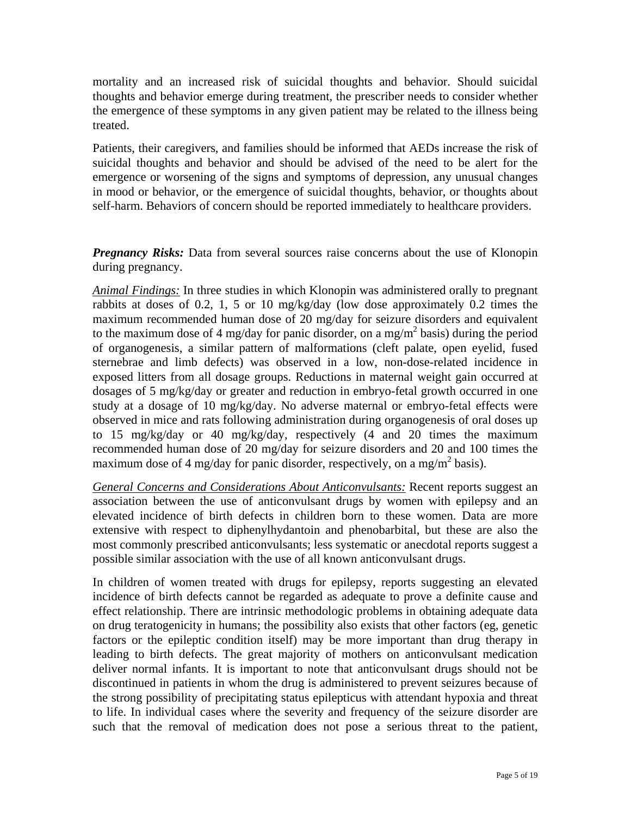mortality and an increased risk of suicidal thoughts and behavior. Should suicidal thoughts and behavior emerge during treatment, the prescriber needs to consider whether the emergence of these symptoms in any given patient may be related to the illness being treated.

Patients, their caregivers, and families should be informed that AEDs increase the risk of suicidal thoughts and behavior and should be advised of the need to be alert for the emergence or worsening of the signs and symptoms of depression, any unusual changes in mood or behavior, or the emergence of suicidal thoughts, behavior, or thoughts about self-harm. Behaviors of concern should be reported immediately to healthcare providers.

*Pregnancy Risks:* Data from several sources raise concerns about the use of Klonopin during pregnancy.

*Animal Findings:* In three studies in which Klonopin was administered orally to pregnant rabbits at doses of 0.2, 1, 5 or 10 mg/kg/day (low dose approximately 0.2 times the maximum recommended human dose of 20 mg/day for seizure disorders and equivalent to the maximum dose of 4 mg/day for panic disorder, on a mg/m<sup>2</sup> basis) during the period of organogenesis, a similar pattern of malformations (cleft palate, open eyelid, fused sternebrae and limb defects) was observed in a low, non-dose-related incidence in exposed litters from all dosage groups. Reductions in maternal weight gain occurred at dosages of 5 mg/kg/day or greater and reduction in embryo-fetal growth occurred in one study at a dosage of 10 mg/kg/day. No adverse maternal or embryo-fetal effects were observed in mice and rats following administration during organogenesis of oral doses up to 15 mg/kg/day or 40 mg/kg/day, respectively (4 and 20 times the maximum recommended human dose of 20 mg/day for seizure disorders and 20 and 100 times the maximum dose of 4 mg/day for panic disorder, respectively, on a mg/m<sup>2</sup> basis).

*General Concerns and Considerations About Anticonvulsants:* Recent reports suggest an association between the use of anticonvulsant drugs by women with epilepsy and an elevated incidence of birth defects in children born to these women. Data are more extensive with respect to diphenylhydantoin and phenobarbital, but these are also the most commonly prescribed anticonvulsants; less systematic or anecdotal reports suggest a possible similar association with the use of all known anticonvulsant drugs.

In children of women treated with drugs for epilepsy, reports suggesting an elevated incidence of birth defects cannot be regarded as adequate to prove a definite cause and effect relationship. There are intrinsic methodologic problems in obtaining adequate data on drug teratogenicity in humans; the possibility also exists that other factors (eg, genetic factors or the epileptic condition itself) may be more important than drug therapy in leading to birth defects. The great majority of mothers on anticonvulsant medication deliver normal infants. It is important to note that anticonvulsant drugs should not be discontinued in patients in whom the drug is administered to prevent seizures because of the strong possibility of precipitating status epilepticus with attendant hypoxia and threat to life. In individual cases where the severity and frequency of the seizure disorder are such that the removal of medication does not pose a serious threat to the patient,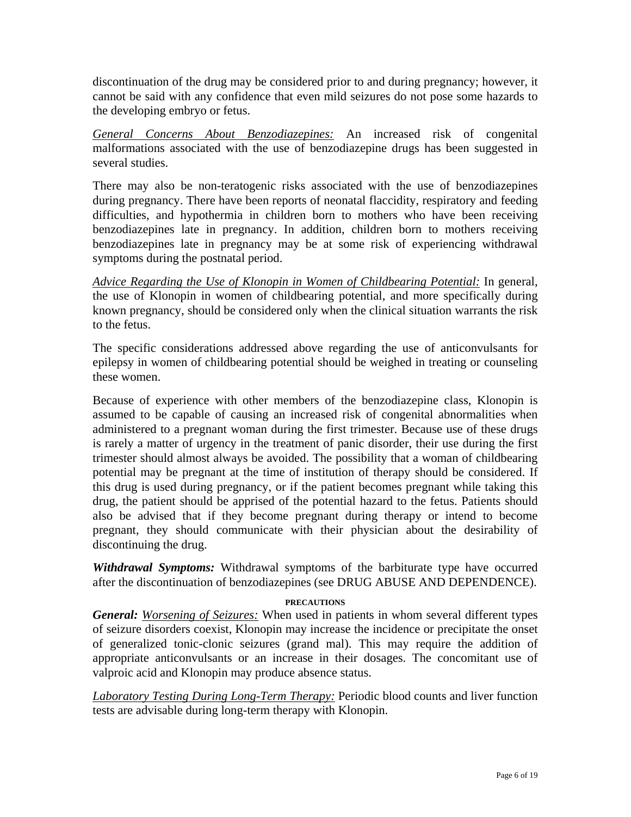discontinuation of the drug may be considered prior to and during pregnancy; however, it cannot be said with any confidence that even mild seizures do not pose some hazards to the developing embryo or fetus.

*General Concerns About Benzodiazepines:* An increased risk of congenital malformations associated with the use of benzodiazepine drugs has been suggested in several studies.

There may also be non-teratogenic risks associated with the use of benzodiazepines during pregnancy. There have been reports of neonatal flaccidity, respiratory and feeding difficulties, and hypothermia in children born to mothers who have been receiving benzodiazepines late in pregnancy. In addition, children born to mothers receiving benzodiazepines late in pregnancy may be at some risk of experiencing withdrawal symptoms during the postnatal period.

*Advice Regarding the Use of Klonopin in Women of Childbearing Potential:* In general, the use of Klonopin in women of childbearing potential, and more specifically during known pregnancy, should be considered only when the clinical situation warrants the risk to the fetus.

The specific considerations addressed above regarding the use of anticonvulsants for epilepsy in women of childbearing potential should be weighed in treating or counseling these women.

Because of experience with other members of the benzodiazepine class, Klonopin is assumed to be capable of causing an increased risk of congenital abnormalities when administered to a pregnant woman during the first trimester. Because use of these drugs is rarely a matter of urgency in the treatment of panic disorder, their use during the first trimester should almost always be avoided. The possibility that a woman of childbearing potential may be pregnant at the time of institution of therapy should be considered. If this drug is used during pregnancy, or if the patient becomes pregnant while taking this drug, the patient should be apprised of the potential hazard to the fetus. Patients should also be advised that if they become pregnant during therapy or intend to become pregnant, they should communicate with their physician about the desirability of discontinuing the drug.

*Withdrawal Symptoms:* Withdrawal symptoms of the barbiturate type have occurred after the discontinuation of benzodiazepines (see DRUG ABUSE AND DEPENDENCE).

## **PRECAUTIONS**

*General: Worsening of Seizures:* When used in patients in whom several different types of seizure disorders coexist, Klonopin may increase the incidence or precipitate the onset of generalized tonic-clonic seizures (grand mal). This may require the addition of appropriate anticonvulsants or an increase in their dosages. The concomitant use of valproic acid and Klonopin may produce absence status.

*Laboratory Testing During Long-Term Therapy:* Periodic blood counts and liver function tests are advisable during long-term therapy with Klonopin.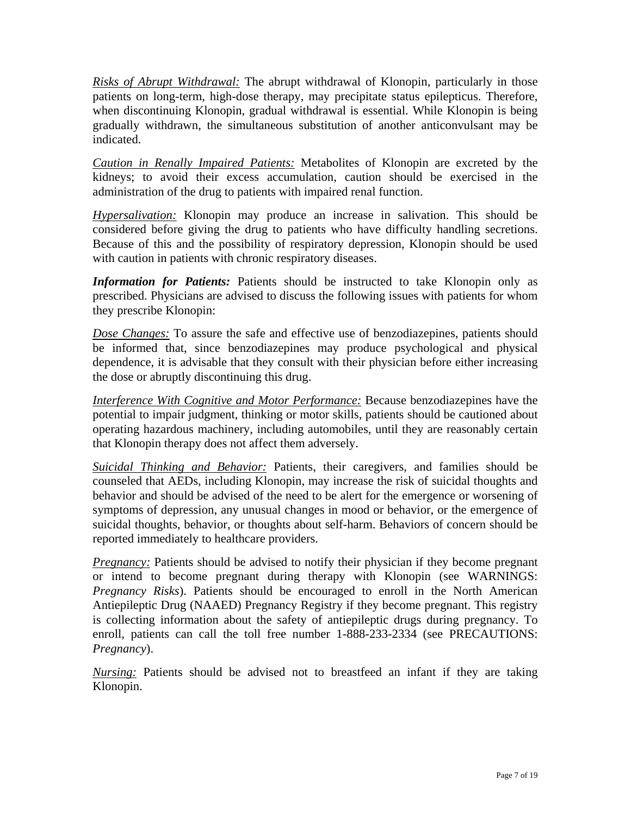*Risks of Abrupt Withdrawal:* The abrupt withdrawal of Klonopin, particularly in those patients on long-term, high-dose therapy, may precipitate status epilepticus. Therefore, when discontinuing Klonopin, gradual withdrawal is essential. While Klonopin is being gradually withdrawn, the simultaneous substitution of another anticonvulsant may be indicated.

*Caution in Renally Impaired Patients:* Metabolites of Klonopin are excreted by the kidneys; to avoid their excess accumulation, caution should be exercised in the administration of the drug to patients with impaired renal function.

*Hypersalivation:* Klonopin may produce an increase in salivation. This should be considered before giving the drug to patients who have difficulty handling secretions. Because of this and the possibility of respiratory depression, Klonopin should be used with caution in patients with chronic respiratory diseases.

*Information for Patients:* Patients should be instructed to take Klonopin only as prescribed. Physicians are advised to discuss the following issues with patients for whom they prescribe Klonopin:

*Dose Changes:* To assure the safe and effective use of benzodiazepines, patients should be informed that, since benzodiazepines may produce psychological and physical dependence, it is advisable that they consult with their physician before either increasing the dose or abruptly discontinuing this drug.

*Interference With Cognitive and Motor Performance:* Because benzodiazepines have the potential to impair judgment, thinking or motor skills, patients should be cautioned about operating hazardous machinery, including automobiles, until they are reasonably certain that Klonopin therapy does not affect them adversely.

*Suicidal Thinking and Behavior:* Patients, their caregivers, and families should be counseled that AEDs, including Klonopin, may increase the risk of suicidal thoughts and behavior and should be advised of the need to be alert for the emergence or worsening of symptoms of depression, any unusual changes in mood or behavior, or the emergence of suicidal thoughts, behavior, or thoughts about self-harm. Behaviors of concern should be reported immediately to healthcare providers.

*Pregnancy:* Patients should be advised to notify their physician if they become pregnant or intend to become pregnant during therapy with Klonopin (see WARNINGS: *Pregnancy Risks*). Patients should be encouraged to enroll in the North American Antiepileptic Drug (NAAED) Pregnancy Registry if they become pregnant. This registry is collecting information about the safety of antiepileptic drugs during pregnancy. To enroll, patients can call the toll free number 1-888-233-2334 (see PRECAUTIONS: *Pregnancy*).

*Nursing:* Patients should be advised not to breastfeed an infant if they are taking Klonopin.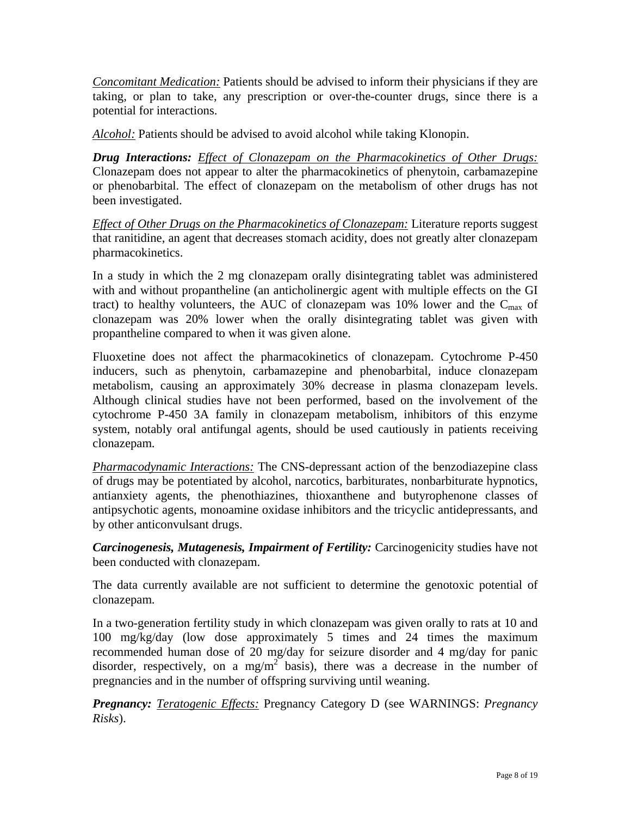*Concomitant Medication:* Patients should be advised to inform their physicians if they are taking, or plan to take, any prescription or over-the-counter drugs, since there is a potential for interactions.

*Alcohol:* Patients should be advised to avoid alcohol while taking Klonopin.

*Drug Interactions: Effect of Clonazepam on the Pharmacokinetics of Other Drugs:*  Clonazepam does not appear to alter the pharmacokinetics of phenytoin, carbamazepine or phenobarbital. The effect of clonazepam on the metabolism of other drugs has not been investigated.

*Effect of Other Drugs on the Pharmacokinetics of Clonazepam:* Literature reports suggest that ranitidine, an agent that decreases stomach acidity, does not greatly alter clonazepam pharmacokinetics.

In a study in which the 2 mg clonazepam orally disintegrating tablet was administered with and without propantheline (an anticholinergic agent with multiple effects on the GI tract) to healthy volunteers, the AUC of clonazepam was 10% lower and the  $C_{\text{max}}$  of clonazepam was 20% lower when the orally disintegrating tablet was given with propantheline compared to when it was given alone.

Fluoxetine does not affect the pharmacokinetics of clonazepam. Cytochrome P-450 inducers, such as phenytoin, carbamazepine and phenobarbital, induce clonazepam metabolism, causing an approximately 30% decrease in plasma clonazepam levels. Although clinical studies have not been performed, based on the involvement of the cytochrome P-450 3A family in clonazepam metabolism, inhibitors of this enzyme system, notably oral antifungal agents, should be used cautiously in patients receiving clonazepam.

*Pharmacodynamic Interactions:* The CNS-depressant action of the benzodiazepine class of drugs may be potentiated by alcohol, narcotics, barbiturates, nonbarbiturate hypnotics, antianxiety agents, the phenothiazines, thioxanthene and butyrophenone classes of antipsychotic agents, monoamine oxidase inhibitors and the tricyclic antidepressants, and by other anticonvulsant drugs.

*Carcinogenesis, Mutagenesis, Impairment of Fertility:* Carcinogenicity studies have not been conducted with clonazepam.

The data currently available are not sufficient to determine the genotoxic potential of clonazepam.

In a two-generation fertility study in which clonazepam was given orally to rats at 10 and 100 mg/kg/day (low dose approximately 5 times and 24 times the maximum recommended human dose of 20 mg/day for seizure disorder and 4 mg/day for panic disorder, respectively, on a mg/m<sup>2</sup> basis), there was a decrease in the number of pregnancies and in the number of offspring surviving until weaning.

*Pregnancy: Teratogenic Effects:* Pregnancy Category D (see WARNINGS: *Pregnancy Risks*).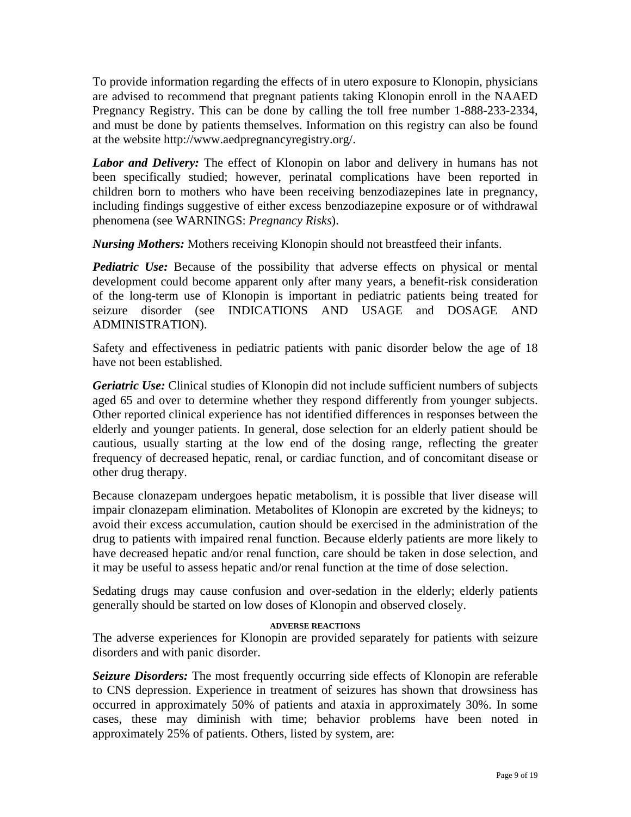To provide information regarding the effects of in utero exposure to Klonopin, physicians are advised to recommend that pregnant patients taking Klonopin enroll in the NAAED Pregnancy Registry. This can be done by calling the toll free number 1-888-233-2334, and must be done by patients themselves. Information on this registry can also be found at the website http://www.aedpregnancyregistry.org/.

*Labor and Delivery:* The effect of Klonopin on labor and delivery in humans has not been specifically studied; however, perinatal complications have been reported in children born to mothers who have been receiving benzodiazepines late in pregnancy, including findings suggestive of either excess benzodiazepine exposure or of withdrawal phenomena (see WARNINGS: *Pregnancy Risks*).

*Nursing Mothers:* Mothers receiving Klonopin should not breastfeed their infants.

*Pediatric Use:* Because of the possibility that adverse effects on physical or mental development could become apparent only after many years, a benefit-risk consideration of the long-term use of Klonopin is important in pediatric patients being treated for seizure disorder (see INDICATIONS AND USAGE and DOSAGE AND ADMINISTRATION).

Safety and effectiveness in pediatric patients with panic disorder below the age of 18 have not been established.

*Geriatric Use:* Clinical studies of Klonopin did not include sufficient numbers of subjects aged 65 and over to determine whether they respond differently from younger subjects. Other reported clinical experience has not identified differences in responses between the elderly and younger patients. In general, dose selection for an elderly patient should be cautious, usually starting at the low end of the dosing range, reflecting the greater frequency of decreased hepatic, renal, or cardiac function, and of concomitant disease or other drug therapy.

Because clonazepam undergoes hepatic metabolism, it is possible that liver disease will impair clonazepam elimination. Metabolites of Klonopin are excreted by the kidneys; to avoid their excess accumulation, caution should be exercised in the administration of the drug to patients with impaired renal function. Because elderly patients are more likely to have decreased hepatic and/or renal function, care should be taken in dose selection, and it may be useful to assess hepatic and/or renal function at the time of dose selection.

Sedating drugs may cause confusion and over-sedation in the elderly; elderly patients generally should be started on low doses of Klonopin and observed closely.

## **ADVERSE REACTIONS**

The adverse experiences for Klonopin are provided separately for patients with seizure disorders and with panic disorder.

**Seizure Disorders:** The most frequently occurring side effects of Klonopin are referable to CNS depression. Experience in treatment of seizures has shown that drowsiness has occurred in approximately 50% of patients and ataxia in approximately 30%. In some cases, these may diminish with time; behavior problems have been noted in approximately 25% of patients. Others, listed by system, are: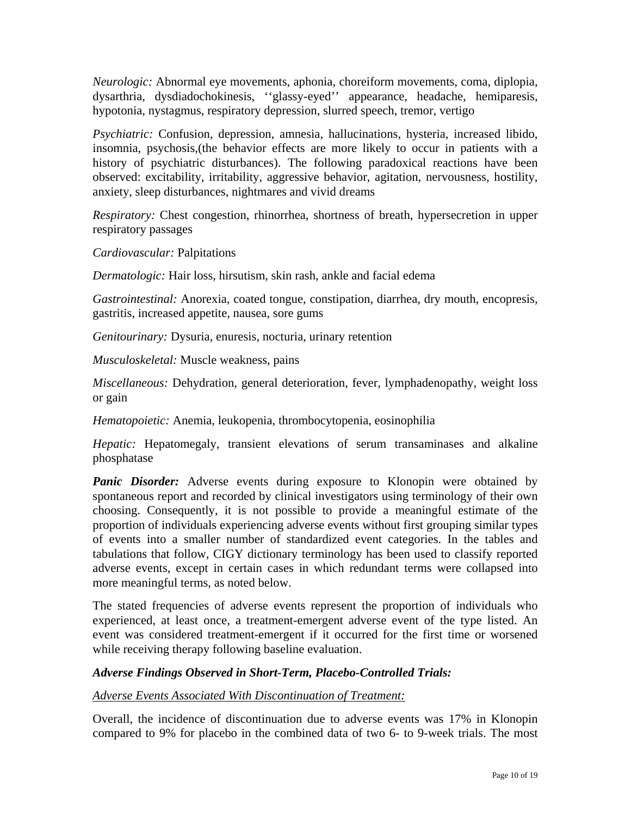*Neurologic:* Abnormal eye movements, aphonia, choreiform movements, coma, diplopia, dysarthria, dysdiadochokinesis, ''glassy-eyed'' appearance, headache, hemiparesis, hypotonia, nystagmus, respiratory depression, slurred speech, tremor, vertigo

*Psychiatric:* Confusion, depression, amnesia, hallucinations, hysteria, increased libido, insomnia, psychosis,(the behavior effects are more likely to occur in patients with a history of psychiatric disturbances). The following paradoxical reactions have been observed: excitability, irritability, aggressive behavior, agitation, nervousness, hostility, anxiety, sleep disturbances, nightmares and vivid dreams

*Respiratory:* Chest congestion, rhinorrhea, shortness of breath, hypersecretion in upper respiratory passages

*Cardiovascular:* Palpitations

*Dermatologic:* Hair loss, hirsutism, skin rash, ankle and facial edema

*Gastrointestinal:* Anorexia, coated tongue, constipation, diarrhea, dry mouth, encopresis, gastritis, increased appetite, nausea, sore gums

*Genitourinary:* Dysuria, enuresis, nocturia, urinary retention

*Musculoskeletal:* Muscle weakness, pains

*Miscellaneous:* Dehydration, general deterioration, fever, lymphadenopathy, weight loss or gain

*Hematopoietic:* Anemia, leukopenia, thrombocytopenia, eosinophilia

*Hepatic:* Hepatomegaly, transient elevations of serum transaminases and alkaline phosphatase

*Panic Disorder:* Adverse events during exposure to Klonopin were obtained by spontaneous report and recorded by clinical investigators using terminology of their own choosing. Consequently, it is not possible to provide a meaningful estimate of the proportion of individuals experiencing adverse events without first grouping similar types of events into a smaller number of standardized event categories. In the tables and tabulations that follow, CIGY dictionary terminology has been used to classify reported adverse events, except in certain cases in which redundant terms were collapsed into more meaningful terms, as noted below.

The stated frequencies of adverse events represent the proportion of individuals who experienced, at least once, a treatment-emergent adverse event of the type listed. An event was considered treatment-emergent if it occurred for the first time or worsened while receiving therapy following baseline evaluation.

## *Adverse Findings Observed in Short-Term, Placebo-Controlled Trials:*

## *Adverse Events Associated With Discontinuation of Treatment:*

Overall, the incidence of discontinuation due to adverse events was 17% in Klonopin compared to 9% for placebo in the combined data of two 6- to 9-week trials. The most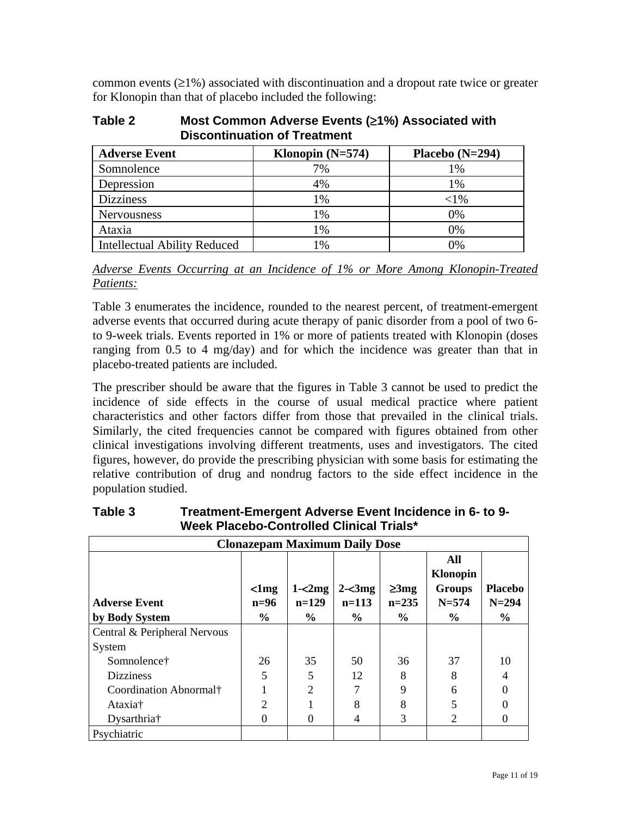common events  $(≥1%)$  associated with discontinuation and a dropout rate twice or greater for Klonopin than that of placebo included the following:

## **Table 2 Most Common Adverse Events (**≥**1%) Associated with Discontinuation of Treatment**

| <b>Adverse Event</b>                | Klonopin $(N=574)$ | Placebo $(N=294)$ |
|-------------------------------------|--------------------|-------------------|
| Somnolence                          | 7%                 | 1%                |
| Depression                          | 4%                 | 1%                |
| Dizziness                           | 1%                 | $<$ 1%            |
| <b>Nervousness</b>                  | 1%                 | 0%                |
| Ataxia                              | 1%                 | $0\%$             |
| <b>Intellectual Ability Reduced</b> | l %                | 0%                |

*Adverse Events Occurring at an Incidence of 1% or More Among Klonopin-Treated Patients:* 

Table 3 enumerates the incidence, rounded to the nearest percent, of treatment-emergent adverse events that occurred during acute therapy of panic disorder from a pool of two 6 to 9-week trials. Events reported in 1% or more of patients treated with Klonopin (doses ranging from 0.5 to 4 mg/day) and for which the incidence was greater than that in placebo-treated patients are included.

The prescriber should be aware that the figures in Table 3 cannot be used to predict the incidence of side effects in the course of usual medical practice where patient characteristics and other factors differ from those that prevailed in the clinical trials. Similarly, the cited frequencies cannot be compared with figures obtained from other clinical investigations involving different treatments, uses and investigators. The cited figures, however, do provide the prescribing physician with some basis for estimating the relative contribution of drug and nondrug factors to the side effect incidence in the population studied.

| <b>Clonazepam Maximum Daily Dose</b> |                         |                      |                      |                         |                                               |                             |
|--------------------------------------|-------------------------|----------------------|----------------------|-------------------------|-----------------------------------------------|-----------------------------|
| <b>Adverse Event</b>                 | $\langle$ 1mg<br>$n=96$ | $1 - 2mg$<br>$n=129$ | $2 - 3mg$<br>$n=113$ | $\geq 3mg$<br>$n = 235$ | All<br>Klonopin<br><b>Groups</b><br>$N = 574$ | <b>Placebo</b><br>$N = 294$ |
| by Body System                       | $\frac{0}{0}$           | $\frac{6}{10}$       | $\frac{6}{10}$       | $\frac{6}{10}$          | $\frac{6}{9}$                                 | $\frac{6}{9}$               |
| Central & Peripheral Nervous         |                         |                      |                      |                         |                                               |                             |
| System                               |                         |                      |                      |                         |                                               |                             |
| Somnolence†                          | 26                      | 35                   | 50                   | 36                      | 37                                            | 10                          |
| <b>Dizziness</b>                     | 5                       | 5                    | 12                   | 8                       | 8                                             | 4                           |
| Coordination Abnormal†               |                         | $\overline{2}$       | 7                    | 9                       | 6                                             |                             |
| Ataxia†                              | $\overline{2}$          |                      | 8                    | 8                       | 5                                             |                             |
| Dysarthria <sup>†</sup>              |                         | 0                    | 4                    | 3                       | $\mathfrak{D}$                                |                             |
| Psychiatric                          |                         |                      |                      |                         |                                               |                             |

## **Table 3 Treatment-Emergent Adverse Event Incidence in 6- to 9- Week Placebo-Controlled Clinical Trials\***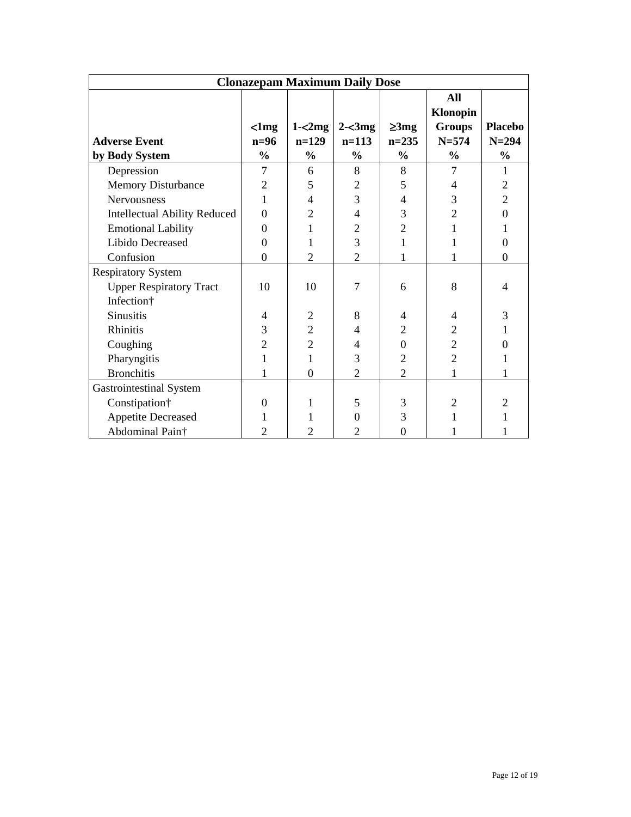| <b>Clonazepam Maximum Daily Dose</b> |                         |                      |                      |                |                     |                |
|--------------------------------------|-------------------------|----------------------|----------------------|----------------|---------------------|----------------|
|                                      |                         |                      |                      | $\geq 3mg$     | All<br>Klonopin     | <b>Placebo</b> |
| <b>Adverse Event</b>                 | $\langle$ 1mg<br>$n=96$ | $1 - 2mg$<br>$n=129$ | $2 - 3mg$<br>$n=113$ | $n = 235$      | Groups<br>$N = 574$ | $N = 294$      |
| by Body System                       | $\frac{1}{2}$           | $\frac{0}{0}$        | $\frac{0}{0}$        | $\frac{0}{0}$  | $\frac{0}{0}$       | $\frac{0}{0}$  |
| Depression                           | 7                       | 6                    | 8                    | 8              | 7                   | 1              |
| <b>Memory Disturbance</b>            | $\overline{2}$          | 5                    | $\overline{2}$       | 5              | 4                   | $\mathbf{2}$   |
| <b>Nervousness</b>                   | 1                       | 4                    | $\overline{3}$       | 4              | 3                   | $\overline{2}$ |
| <b>Intellectual Ability Reduced</b>  | $\theta$                | $\overline{2}$       | 4                    | 3              | $\overline{2}$      | $\overline{0}$ |
| <b>Emotional Lability</b>            | 0                       | 1                    | 2                    | $\overline{2}$ | 1                   |                |
| Libido Decreased                     | 0                       |                      | 3                    | 1              |                     | $\theta$       |
| Confusion                            | $\overline{0}$          | 2                    | $\overline{c}$       | 1              |                     | $\theta$       |
| <b>Respiratory System</b>            |                         |                      |                      |                |                     |                |
| <b>Upper Respiratory Tract</b>       | 10                      | 10                   | 7                    | 6              | 8                   | 4              |
| Infection <sup>+</sup>               |                         |                      |                      |                |                     |                |
| <b>Sinusitis</b>                     | 4                       | 2                    | 8                    | 4              | 4                   | 3              |
| <b>Rhinitis</b>                      | 3                       | $\overline{2}$       | 4                    | 2              | 2                   | 1              |
| Coughing                             | $\overline{2}$          | $\overline{2}$       | 4                    | $\Omega$       | $\overline{2}$      | 0              |
| Pharyngitis                          | 1                       | 1                    | 3                    | $\overline{2}$ | $\overline{2}$      |                |
| <b>Bronchitis</b>                    |                         | $\overline{0}$       | $\overline{c}$       | $\overline{2}$ | $\mathbf{1}$        |                |
| <b>Gastrointestinal System</b>       |                         |                      |                      |                |                     |                |
| Constipation†                        | 0                       |                      | 5                    | 3              | 2                   | 2              |
| <b>Appetite Decreased</b>            |                         |                      | $\theta$             | 3              |                     | 1              |
| Abdominal Pain†                      | 2                       | 2                    | 2                    | 0              |                     |                |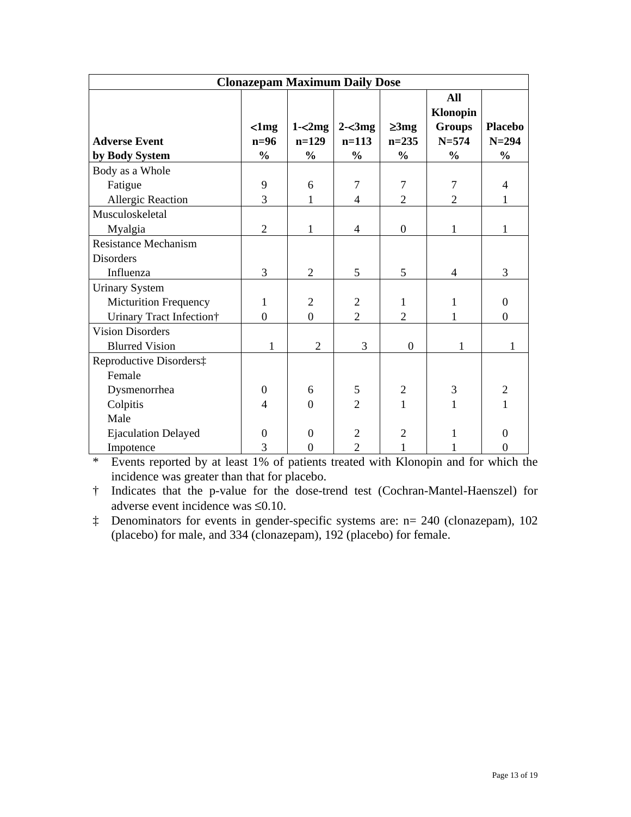| <b>Clonazepam Maximum Daily Dose</b>                                              |                                          |                                       |                                       |                                          |                                                                |                                              |
|-----------------------------------------------------------------------------------|------------------------------------------|---------------------------------------|---------------------------------------|------------------------------------------|----------------------------------------------------------------|----------------------------------------------|
| <b>Adverse Event</b><br>by Body System                                            | $\langle$ 1mg<br>$n=96$<br>$\frac{0}{0}$ | $1 - 2mg$<br>$n=129$<br>$\frac{0}{0}$ | $2 - 3mg$<br>$n=113$<br>$\frac{0}{0}$ | $\geq 3mg$<br>$n = 235$<br>$\frac{0}{0}$ | All<br>Klonopin<br><b>Groups</b><br>$N = 574$<br>$\frac{0}{0}$ | <b>Placebo</b><br>$N = 294$<br>$\frac{0}{0}$ |
| Body as a Whole                                                                   |                                          |                                       |                                       |                                          |                                                                |                                              |
| Fatigue<br>Allergic Reaction                                                      | 9<br>3                                   | 6<br>1                                | $\overline{7}$<br>4                   | 7<br>$\overline{2}$                      | 7<br>$\overline{2}$                                            | 4<br>1                                       |
| Musculoskeletal                                                                   |                                          |                                       |                                       |                                          |                                                                |                                              |
| Myalgia                                                                           | $\overline{2}$                           | 1                                     | 4                                     | $\boldsymbol{0}$                         | $\mathbf{1}$                                                   | 1                                            |
| <b>Resistance Mechanism</b><br><b>Disorders</b>                                   |                                          |                                       |                                       |                                          |                                                                |                                              |
| Influenza                                                                         | 3                                        | $\overline{2}$                        | 5                                     | 5                                        | 4                                                              | 3                                            |
| <b>Urinary System</b><br><b>Micturition Frequency</b><br>Urinary Tract Infection† | 1<br>$\Omega$                            | $\overline{2}$<br>$\overline{0}$      | $\mathfrak{2}$<br>$\overline{2}$      | 1<br>$\overline{2}$                      | 1<br>1                                                         | $\boldsymbol{0}$<br>$\overline{0}$           |
| <b>Vision Disorders</b>                                                           |                                          |                                       |                                       |                                          |                                                                |                                              |
| <b>Blurred Vision</b>                                                             | 1                                        | $\overline{2}$                        | 3                                     | $\mathbf{0}$                             | 1                                                              | 1                                            |
| Reproductive Disorders‡<br>Female                                                 |                                          |                                       |                                       |                                          |                                                                |                                              |
| Dysmenorrhea                                                                      | $\Omega$                                 | 6                                     | 5                                     | $\overline{2}$                           | 3                                                              | $\overline{c}$                               |
| Colpitis<br>Male                                                                  | 4                                        | $\Omega$                              | $\overline{2}$                        | 1                                        | 1                                                              | 1                                            |
| <b>Ejaculation Delayed</b>                                                        | $\theta$                                 | $\Omega$                              | $\overline{2}$                        | $\overline{2}$                           |                                                                | $\boldsymbol{0}$                             |
| Impotence                                                                         | 3                                        | $\theta$                              | $\overline{2}$                        | 1                                        |                                                                | $\theta$                                     |

\* Events reported by at least 1% of patients treated with Klonopin and for which the incidence was greater than that for placebo.

† Indicates that the p-value for the dose-trend test (Cochran-Mantel-Haenszel) for adverse event incidence was ≤0.10.

‡ Denominators for events in gender-specific systems are: n= 240 (clonazepam), 102 (placebo) for male, and 334 (clonazepam), 192 (placebo) for female.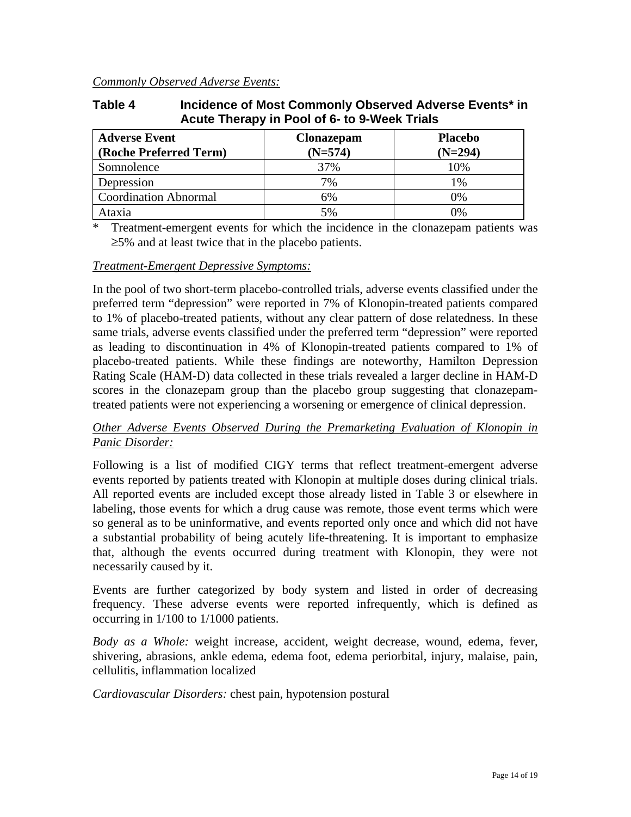*Commonly Observed Adverse Events:* 

## **Table 4 Incidence of Most Commonly Observed Adverse Events\* in Acute Therapy in Pool of 6- to 9-Week Trials**

| <b>Adverse Event</b><br>(Roche Preferred Term) | <b>Clonazepam</b><br>$(N=574)$ | <b>Placebo</b><br>$(N=294)$ |
|------------------------------------------------|--------------------------------|-----------------------------|
| Somnolence                                     | 37%                            | 10%                         |
| Depression                                     | 7%                             | 1%                          |
| <b>Coordination Abnormal</b>                   | 6%                             | 0%                          |
| Ataxia                                         | 5%                             | 0%                          |

Treatment-emergent events for which the incidence in the clonazepam patients was ≥5% and at least twice that in the placebo patients.

## *Treatment-Emergent Depressive Symptoms:*

In the pool of two short-term placebo-controlled trials, adverse events classified under the preferred term "depression" were reported in 7% of Klonopin-treated patients compared to 1% of placebo-treated patients, without any clear pattern of dose relatedness. In these same trials, adverse events classified under the preferred term "depression" were reported as leading to discontinuation in 4% of Klonopin-treated patients compared to 1% of placebo-treated patients. While these findings are noteworthy, Hamilton Depression Rating Scale (HAM-D) data collected in these trials revealed a larger decline in HAM-D scores in the clonazepam group than the placebo group suggesting that clonazepamtreated patients were not experiencing a worsening or emergence of clinical depression.

## *Other Adverse Events Observed During the Premarketing Evaluation of Klonopin in Panic Disorder:*

Following is a list of modified CIGY terms that reflect treatment-emergent adverse events reported by patients treated with Klonopin at multiple doses during clinical trials. All reported events are included except those already listed in Table 3 or elsewhere in labeling, those events for which a drug cause was remote, those event terms which were so general as to be uninformative, and events reported only once and which did not have a substantial probability of being acutely life-threatening. It is important to emphasize that, although the events occurred during treatment with Klonopin, they were not necessarily caused by it.

Events are further categorized by body system and listed in order of decreasing frequency. These adverse events were reported infrequently, which is defined as occurring in 1/100 to 1/1000 patients.

*Body as a Whole:* weight increase, accident, weight decrease, wound, edema, fever, shivering, abrasions, ankle edema, edema foot, edema periorbital, injury, malaise, pain, cellulitis, inflammation localized

*Cardiovascular Disorders:* chest pain, hypotension postural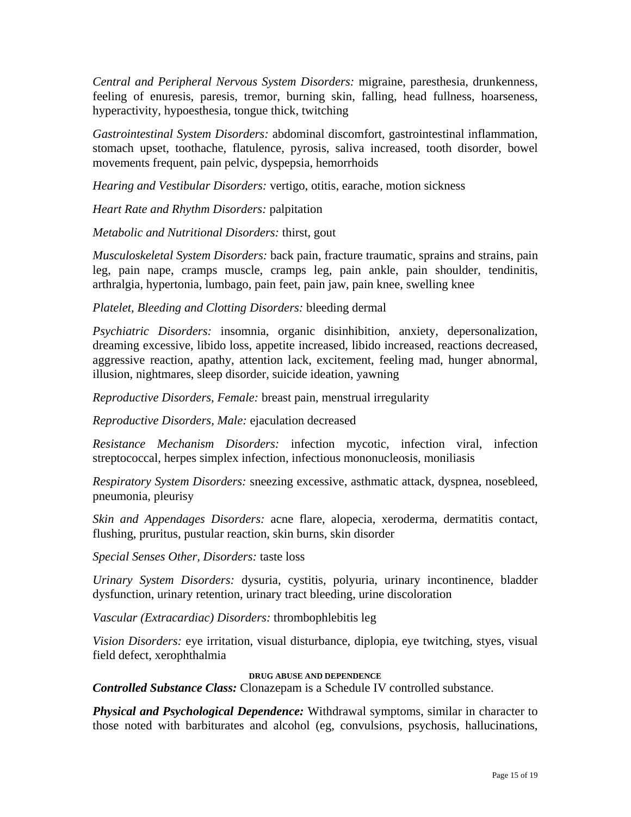*Central and Peripheral Nervous System Disorders:* migraine, paresthesia, drunkenness, feeling of enuresis, paresis, tremor, burning skin, falling, head fullness, hoarseness, hyperactivity, hypoesthesia, tongue thick, twitching

*Gastrointestinal System Disorders:* abdominal discomfort, gastrointestinal inflammation, stomach upset, toothache, flatulence, pyrosis, saliva increased, tooth disorder, bowel movements frequent, pain pelvic, dyspepsia, hemorrhoids

*Hearing and Vestibular Disorders:* vertigo, otitis, earache, motion sickness

*Heart Rate and Rhythm Disorders:* palpitation

*Metabolic and Nutritional Disorders:* thirst, gout

*Musculoskeletal System Disorders:* back pain, fracture traumatic, sprains and strains, pain leg, pain nape, cramps muscle, cramps leg, pain ankle, pain shoulder, tendinitis, arthralgia, hypertonia, lumbago, pain feet, pain jaw, pain knee, swelling knee

*Platelet, Bleeding and Clotting Disorders:* bleeding dermal

*Psychiatric Disorders:* insomnia, organic disinhibition, anxiety, depersonalization, dreaming excessive, libido loss, appetite increased, libido increased, reactions decreased, aggressive reaction, apathy, attention lack, excitement, feeling mad, hunger abnormal, illusion, nightmares, sleep disorder, suicide ideation, yawning

*Reproductive Disorders, Female:* breast pain, menstrual irregularity

*Reproductive Disorders, Male:* ejaculation decreased

*Resistance Mechanism Disorders:* infection mycotic, infection viral, infection streptococcal, herpes simplex infection, infectious mononucleosis, moniliasis

*Respiratory System Disorders:* sneezing excessive, asthmatic attack, dyspnea, nosebleed, pneumonia, pleurisy

*Skin and Appendages Disorders:* acne flare, alopecia, xeroderma, dermatitis contact, flushing, pruritus, pustular reaction, skin burns, skin disorder

*Special Senses Other, Disorders:* taste loss

*Urinary System Disorders:* dysuria, cystitis, polyuria, urinary incontinence, bladder dysfunction, urinary retention, urinary tract bleeding, urine discoloration

*Vascular (Extracardiac) Disorders:* thrombophlebitis leg

*Vision Disorders:* eye irritation, visual disturbance, diplopia, eye twitching, styes, visual field defect, xerophthalmia

## **DRUG ABUSE AND DEPENDENCE**

*Controlled Substance Class:* Clonazepam is a Schedule IV controlled substance.

*Physical and Psychological Dependence:* Withdrawal symptoms, similar in character to those noted with barbiturates and alcohol (eg, convulsions, psychosis, hallucinations,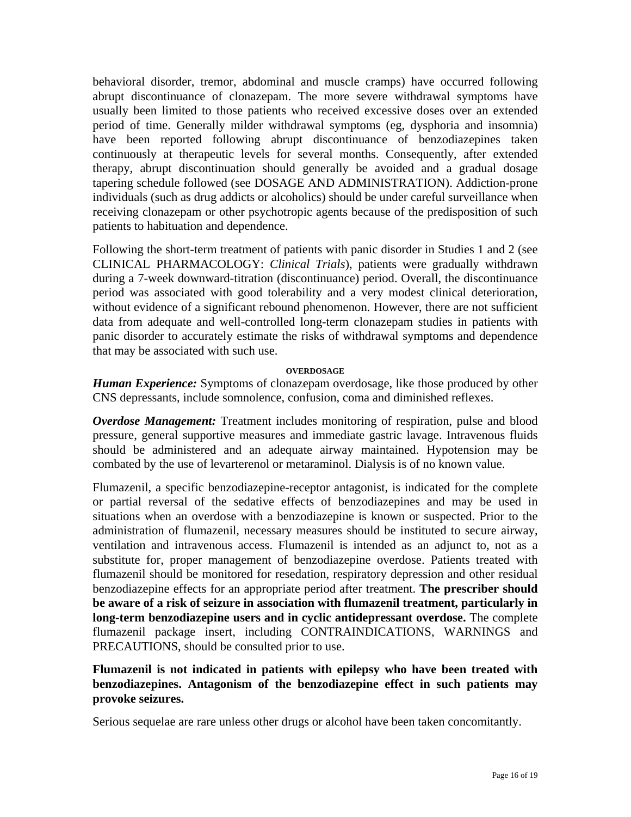behavioral disorder, tremor, abdominal and muscle cramps) have occurred following abrupt discontinuance of clonazepam. The more severe withdrawal symptoms have usually been limited to those patients who received excessive doses over an extended period of time. Generally milder withdrawal symptoms (eg, dysphoria and insomnia) have been reported following abrupt discontinuance of benzodiazepines taken continuously at therapeutic levels for several months. Consequently, after extended therapy, abrupt discontinuation should generally be avoided and a gradual dosage tapering schedule followed (see DOSAGE AND ADMINISTRATION). Addiction-prone individuals (such as drug addicts or alcoholics) should be under careful surveillance when receiving clonazepam or other psychotropic agents because of the predisposition of such patients to habituation and dependence.

Following the short-term treatment of patients with panic disorder in Studies 1 and 2 (see CLINICAL PHARMACOLOGY: *Clinical Trials*), patients were gradually withdrawn during a 7-week downward-titration (discontinuance) period. Overall, the discontinuance period was associated with good tolerability and a very modest clinical deterioration, without evidence of a significant rebound phenomenon. However, there are not sufficient data from adequate and well-controlled long-term clonazepam studies in patients with panic disorder to accurately estimate the risks of withdrawal symptoms and dependence that may be associated with such use.

#### **OVERDOSAGE**

*Human Experience:* Symptoms of clonazepam overdosage, like those produced by other CNS depressants, include somnolence, confusion, coma and diminished reflexes.

*Overdose Management:* Treatment includes monitoring of respiration, pulse and blood pressure, general supportive measures and immediate gastric lavage. Intravenous fluids should be administered and an adequate airway maintained. Hypotension may be combated by the use of levarterenol or metaraminol. Dialysis is of no known value.

Flumazenil, a specific benzodiazepine-receptor antagonist, is indicated for the complete or partial reversal of the sedative effects of benzodiazepines and may be used in situations when an overdose with a benzodiazepine is known or suspected. Prior to the administration of flumazenil, necessary measures should be instituted to secure airway, ventilation and intravenous access. Flumazenil is intended as an adjunct to, not as a substitute for, proper management of benzodiazepine overdose. Patients treated with flumazenil should be monitored for resedation, respiratory depression and other residual benzodiazepine effects for an appropriate period after treatment. **The prescriber should be aware of a risk of seizure in association with flumazenil treatment, particularly in long-term benzodiazepine users and in cyclic antidepressant overdose.** The complete flumazenil package insert, including CONTRAINDICATIONS, WARNINGS and PRECAUTIONS, should be consulted prior to use.

**Flumazenil is not indicated in patients with epilepsy who have been treated with benzodiazepines. Antagonism of the benzodiazepine effect in such patients may provoke seizures.** 

Serious sequelae are rare unless other drugs or alcohol have been taken concomitantly.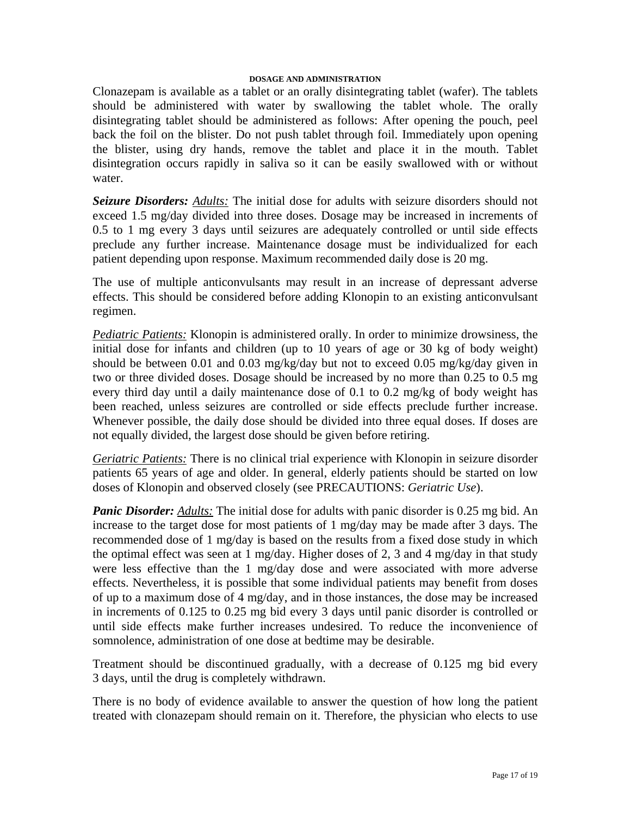#### **DOSAGE AND ADMINISTRATION**

Clonazepam is available as a tablet or an orally disintegrating tablet (wafer). The tablets should be administered with water by swallowing the tablet whole. The orally disintegrating tablet should be administered as follows: After opening the pouch, peel back the foil on the blister. Do not push tablet through foil. Immediately upon opening the blister, using dry hands, remove the tablet and place it in the mouth. Tablet disintegration occurs rapidly in saliva so it can be easily swallowed with or without water.

*Seizure Disorders: Adults:* The initial dose for adults with seizure disorders should not exceed 1.5 mg/day divided into three doses. Dosage may be increased in increments of 0.5 to 1 mg every 3 days until seizures are adequately controlled or until side effects preclude any further increase. Maintenance dosage must be individualized for each patient depending upon response. Maximum recommended daily dose is 20 mg.

The use of multiple anticonvulsants may result in an increase of depressant adverse effects. This should be considered before adding Klonopin to an existing anticonvulsant regimen.

*Pediatric Patients:* Klonopin is administered orally. In order to minimize drowsiness, the initial dose for infants and children (up to 10 years of age or 30 kg of body weight) should be between 0.01 and 0.03 mg/kg/day but not to exceed 0.05 mg/kg/day given in two or three divided doses. Dosage should be increased by no more than 0.25 to 0.5 mg every third day until a daily maintenance dose of 0.1 to 0.2 mg/kg of body weight has been reached, unless seizures are controlled or side effects preclude further increase. Whenever possible, the daily dose should be divided into three equal doses. If doses are not equally divided, the largest dose should be given before retiring.

*Geriatric Patients:* There is no clinical trial experience with Klonopin in seizure disorder patients 65 years of age and older. In general, elderly patients should be started on low doses of Klonopin and observed closely (see PRECAUTIONS: *Geriatric Use*).

*Panic Disorder: Adults:* The initial dose for adults with panic disorder is 0.25 mg bid. An increase to the target dose for most patients of 1 mg/day may be made after 3 days. The recommended dose of 1 mg/day is based on the results from a fixed dose study in which the optimal effect was seen at 1 mg/day. Higher doses of 2, 3 and 4 mg/day in that study were less effective than the 1 mg/day dose and were associated with more adverse effects. Nevertheless, it is possible that some individual patients may benefit from doses of up to a maximum dose of 4 mg/day, and in those instances, the dose may be increased in increments of 0.125 to 0.25 mg bid every 3 days until panic disorder is controlled or until side effects make further increases undesired. To reduce the inconvenience of somnolence, administration of one dose at bedtime may be desirable.

Treatment should be discontinued gradually, with a decrease of 0.125 mg bid every 3 days, until the drug is completely withdrawn.

There is no body of evidence available to answer the question of how long the patient treated with clonazepam should remain on it. Therefore, the physician who elects to use